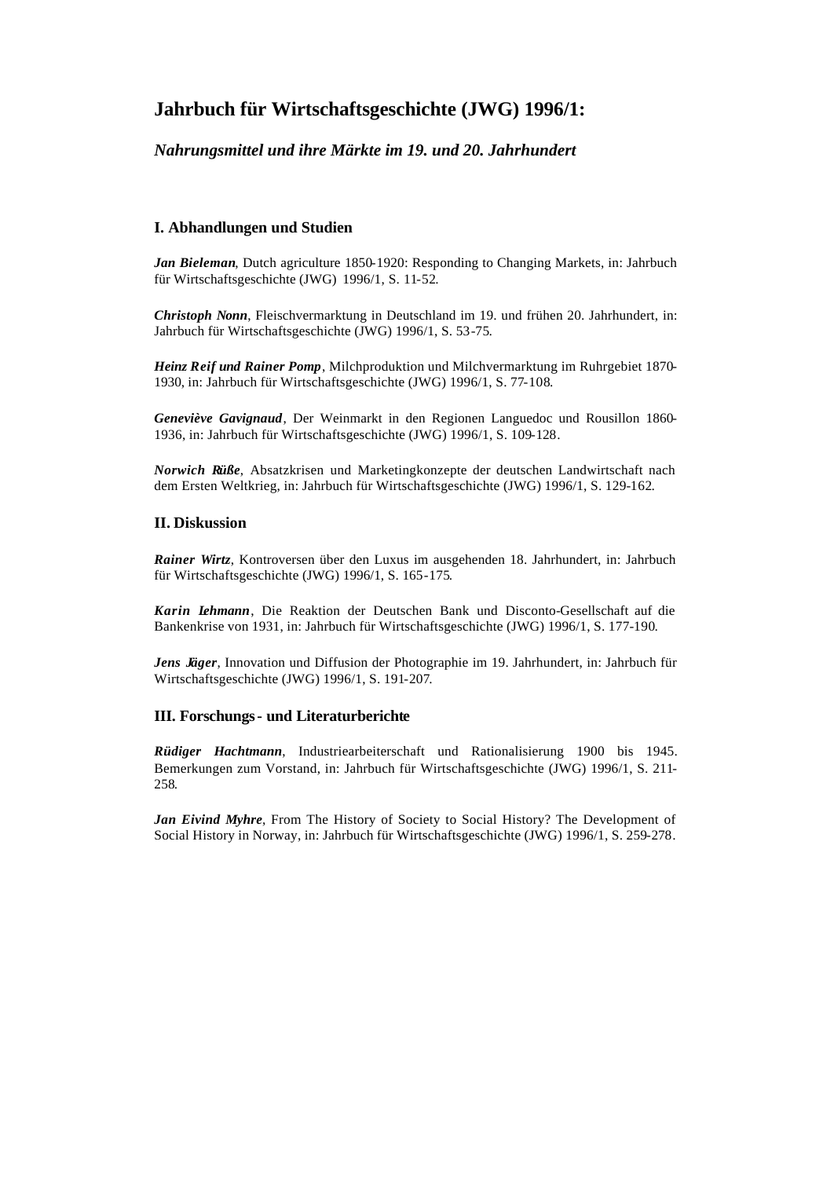# **Jahrbuch für Wirtschaftsgeschichte (JWG) 1996/1:**

# *Nahrungsmittel und ihre Märkte im 19. und 20. Jahrhundert*

# **I. Abhandlungen und Studien**

*Jan Bieleman*, Dutch agriculture 1850-1920: Responding to Changing Markets, in: Jahrbuch für Wirtschaftsgeschichte (JWG) 1996/1, S. 11-52.

*Christoph Nonn*, Fleischvermarktung in Deutschland im 19. und frühen 20. Jahrhundert, in: Jahrbuch für Wirtschaftsgeschichte (JWG) 1996/1, S. 53-75.

*Heinz Reif und Rainer Pomp*, Milchproduktion und Milchvermarktung im Ruhrgebiet 1870- 1930, in: Jahrbuch für Wirtschaftsgeschichte (JWG) 1996/1, S. 77-108.

*Geneviève Gavignaud*, Der Weinmarkt in den Regionen Languedoc und Rousillon 1860- 1936, in: Jahrbuch für Wirtschaftsgeschichte (JWG) 1996/1, S. 109-128.

*Norwich Rüße*, Absatzkrisen und Marketingkonzepte der deutschen Landwirtschaft nach dem Ersten Weltkrieg, in: Jahrbuch für Wirtschaftsgeschichte (JWG) 1996/1, S. 129-162.

# **II. Diskussion**

*Rainer Wirtz*, Kontroversen über den Luxus im ausgehenden 18. Jahrhundert, in: Jahrbuch für Wirtschaftsgeschichte (JWG) 1996/1, S. 165-175.

*Karin Lehmann*, Die Reaktion der Deutschen Bank und Disconto-Gesellschaft auf die Bankenkrise von 1931, in: Jahrbuch für Wirtschaftsgeschichte (JWG) 1996/1, S. 177-190.

*Jens Jäger*, Innovation und Diffusion der Photographie im 19. Jahrhundert, in: Jahrbuch für Wirtschaftsgeschichte (JWG) 1996/1, S. 191-207.

# **III. Forschungs- und Literaturberichte**

*Rüdiger Hachtmann*, Industriearbeiterschaft und Rationalisierung 1900 bis 1945. Bemerkungen zum Vorstand, in: Jahrbuch für Wirtschaftsgeschichte (JWG) 1996/1, S. 211- 258.

*Jan Eivind Myhre*, From The History of Society to Social History? The Development of Social History in Norway, in: Jahrbuch für Wirtschaftsgeschichte (JWG) 1996/1, S. 259-278.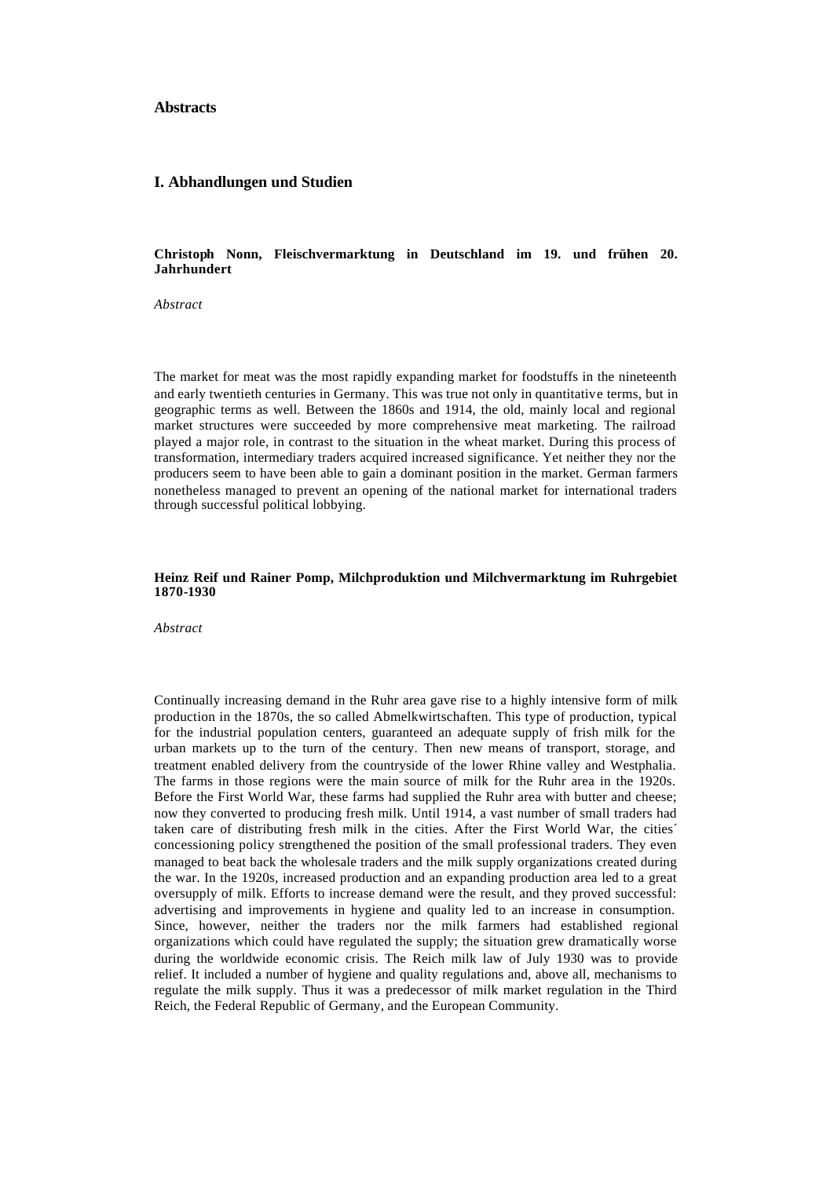### **Abstracts**

#### **I. Abhandlungen und Studien**

**Christoph Nonn, Fleischvermarktung in Deutschland im 19. und frühen 20. Jahrhundert**

*Abstract*

The market for meat was the most rapidly expanding market for foodstuffs in the nineteenth and early twentieth centuries in Germany. This was true not only in quantitative terms, but in geographic terms as well. Between the 1860s and 1914, the old, mainly local and regional market structures were succeeded by more comprehensive meat marketing. The railroad played a major role, in contrast to the situation in the wheat market. During this process of transformation, intermediary traders acquired increased significance. Yet neither they nor the producers seem to have been able to gain a dominant position in the market. German farmers nonetheless managed to prevent an opening of the national market for international traders through successful political lobbying.

### **Heinz Reif und Rainer Pomp, Milchproduktion und Milchvermarktung im Ruhrgebiet 1870-1930**

*Abstract*

Continually increasing demand in the Ruhr area gave rise to a highly intensive form of milk production in the 1870s, the so called Abmelkwirtschaften. This type of production, typical for the industrial population centers, guaranteed an adequate supply of frish milk for the urban markets up to the turn of the century. Then new means of transport, storage, and treatment enabled delivery from the countryside of the lower Rhine valley and Westphalia. The farms in those regions were the main source of milk for the Ruhr area in the 1920s. Before the First World War, these farms had supplied the Ruhr area with butter and cheese; now they converted to producing fresh milk. Until 1914, a vast number of small traders had taken care of distributing fresh milk in the cities. After the First World War, the cities´ concessioning policy strengthened the position of the small professional traders. They even managed to beat back the wholesale traders and the milk supply organizations created during the war. In the 1920s, increased production and an expanding production area led to a great oversupply of milk. Efforts to increase demand were the result, and they proved successful: advertising and improvements in hygiene and quality led to an increase in consumption. Since, however, neither the traders nor the milk farmers had established regional organizations which could have regulated the supply; the situation grew dramatically worse during the worldwide economic crisis. The Reich milk law of July 1930 was to provide relief. It included a number of hygiene and quality regulations and, above all, mechanisms to regulate the milk supply. Thus it was a predecessor of milk market regulation in the Third Reich, the Federal Republic of Germany, and the European Community.